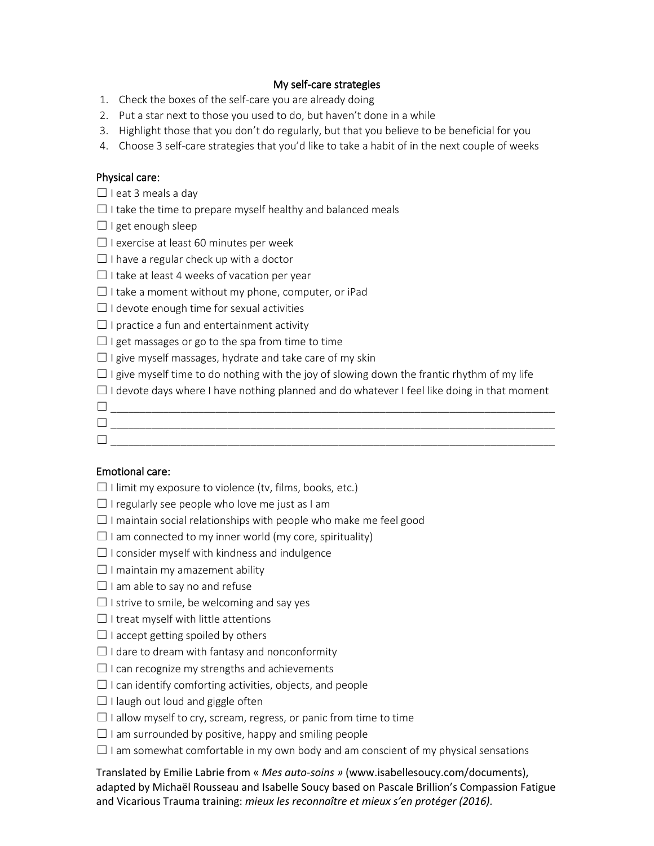## My self-care strategies

- 1. Check the boxes of the self-care you are already doing
- 2. Put a star next to those you used to do, but haven't done in a while
- 3. Highlight those that you don't do regularly, but that you believe to be beneficial for you
- 4. Choose 3 self-care strategies that you'd like to take a habit of in the next couple of weeks

## Physical care:

 $\Box$  I eat 3 meals a day

 $\Box$  I take the time to prepare myself healthy and balanced meals

 $\Box$  I get enough sleep

- $\Box$  I exercise at least 60 minutes per week
- $\Box$  I have a regular check up with a doctor
- $\Box$  I take at least 4 weeks of vacation per year
- $\Box$  I take a moment without my phone, computer, or iPad
- $\Box$  I devote enough time for sexual activities
- $\Box$  I practice a fun and entertainment activity

 $\Box$  I get massages or go to the spa from time to time

 $\Box$  I give myself massages, hydrate and take care of my skin

 $\Box$  I give myself time to do nothing with the joy of slowing down the frantic rhythm of my life

 $\Box$  I devote days where I have nothing planned and do whatever I feel like doing in that moment

- ☐ \_\_\_\_\_\_\_\_\_\_\_\_\_\_\_\_\_\_\_\_\_\_\_\_\_\_\_\_\_\_\_\_\_\_\_\_\_\_\_\_\_\_\_\_\_\_\_\_\_\_\_\_\_\_\_\_\_\_\_\_\_\_\_\_\_\_\_\_\_\_\_\_\_\_\_\_
- ☐ \_\_\_\_\_\_\_\_\_\_\_\_\_\_\_\_\_\_\_\_\_\_\_\_\_\_\_\_\_\_\_\_\_\_\_\_\_\_\_\_\_\_\_\_\_\_\_\_\_\_\_\_\_\_\_\_\_\_\_\_\_\_\_\_\_\_\_\_\_\_\_\_\_\_\_\_ ☐ \_\_\_\_\_\_\_\_\_\_\_\_\_\_\_\_\_\_\_\_\_\_\_\_\_\_\_\_\_\_\_\_\_\_\_\_\_\_\_\_\_\_\_\_\_\_\_\_\_\_\_\_\_\_\_\_\_\_\_\_\_\_\_\_\_\_\_\_\_\_\_\_\_\_\_\_

### Emotional care:

- $\Box$  I limit my exposure to violence (tv, films, books, etc.)
- $\Box$  I regularly see people who love me just as I am
- $\Box$  I maintain social relationships with people who make me feel good
- $\Box$  I am connected to my inner world (my core, spirituality)
- $\Box$  I consider myself with kindness and indulgence
- $\Box$  I maintain my amazement ability
- $\Box$  I am able to say no and refuse
- $\Box$  I strive to smile, be welcoming and say yes
- $\Box$  I treat myself with little attentions
- $\Box$  I accept getting spoiled by others
- $\Box$  I dare to dream with fantasy and nonconformity
- $\Box$  I can recognize my strengths and achievements
- $\Box$  I can identify comforting activities, objects, and people
- $\Box$  I laugh out loud and giggle often
- $\Box$  I allow myself to cry, scream, regress, or panic from time to time
- $\Box$  I am surrounded by positive, happy and smiling people
- $\Box$  I am somewhat comfortable in my own body and am conscient of my physical sensations

Translated by Emilie Labrie from « *Mes auto-soins »* (www.isabellesoucy.com/documents), adapted by Michaël Rousseau and Isabelle Soucy based on Pascale Brillion's Compassion Fatigue and Vicarious Trauma training: *mieux les reconnaître et mieux s'en protéger (2016).*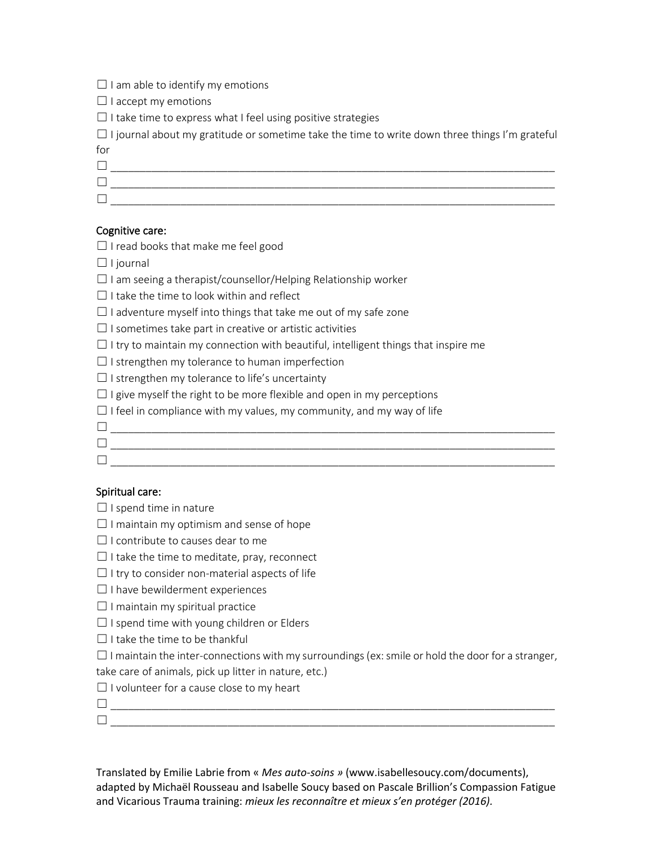| $\Box$ I am able to identify my emotions |  |
|------------------------------------------|--|
|------------------------------------------|--|

 $\Box$  I accept my emotions

 $\Box$  I take time to express what I feel using positive strategies

 $\Box$  I journal about my gratitude or sometime take the time to write down three things I'm grateful for

☐ \_\_\_\_\_\_\_\_\_\_\_\_\_\_\_\_\_\_\_\_\_\_\_\_\_\_\_\_\_\_\_\_\_\_\_\_\_\_\_\_\_\_\_\_\_\_\_\_\_\_\_\_\_\_\_\_\_\_\_\_\_\_\_\_\_\_\_\_\_\_\_\_\_\_\_\_

☐ \_\_\_\_\_\_\_\_\_\_\_\_\_\_\_\_\_\_\_\_\_\_\_\_\_\_\_\_\_\_\_\_\_\_\_\_\_\_\_\_\_\_\_\_\_\_\_\_\_\_\_\_\_\_\_\_\_\_\_\_\_\_\_\_\_\_\_\_\_\_\_\_\_\_\_\_

# Cognitive care:

- ☐ I read books that make me feel good
- $\Box$  I journal
- $\Box$  I am seeing a therapist/counsellor/Helping Relationship worker

 $\Box$  I take the time to look within and reflect

| $\Box$ I adventure myself into things that take me out of my safe zone |  |  |  |
|------------------------------------------------------------------------|--|--|--|
|------------------------------------------------------------------------|--|--|--|

 $\Box$  I sometimes take part in creative or artistic activities

☐ \_\_\_\_\_\_\_\_\_\_\_\_\_\_\_\_\_\_\_\_\_\_\_\_\_\_\_\_\_\_\_\_\_\_\_\_\_\_\_\_\_\_\_\_\_\_\_\_\_\_\_\_\_\_\_\_\_\_\_\_\_\_\_\_\_\_\_\_\_\_\_\_\_\_\_\_

 $\Box$  I try to maintain my connection with beautiful, intelligent things that inspire me

 $\Box$  I strengthen my tolerance to human imperfection

 $\Box$  I strengthen my tolerance to life's uncertainty

 $\Box$  I give myself the right to be more flexible and open in my perceptions

 $\Box$  I feel in compliance with my values, my community, and my way of life

- ☐ \_\_\_\_\_\_\_\_\_\_\_\_\_\_\_\_\_\_\_\_\_\_\_\_\_\_\_\_\_\_\_\_\_\_\_\_\_\_\_\_\_\_\_\_\_\_\_\_\_\_\_\_\_\_\_\_\_\_\_\_\_\_\_\_\_\_\_\_\_\_\_\_\_\_\_\_  $\Box$
- Spiritual care:

 $\Box$  I spend time in nature

 $\Box$  I maintain my optimism and sense of hope

- $\Box$  I contribute to causes dear to me
- $\Box$  I take the time to meditate, pray, reconnect
- $\Box$  I try to consider non-material aspects of life
- $\Box$  I have bewilderment experiences
- $\Box$  I maintain my spiritual practice
- $\Box$  I spend time with young children or Elders
- $\Box$  I take the time to be thankful

 $\Box$  I maintain the inter-connections with my surroundings (ex: smile or hold the door for a stranger,

☐ \_\_\_\_\_\_\_\_\_\_\_\_\_\_\_\_\_\_\_\_\_\_\_\_\_\_\_\_\_\_\_\_\_\_\_\_\_\_\_\_\_\_\_\_\_\_\_\_\_\_\_\_\_\_\_\_\_\_\_\_\_\_\_\_\_\_\_\_\_\_\_\_\_\_\_\_

take care of animals, pick up litter in nature, etc.)

 $\Box$  I volunteer for a cause close to my heart

Translated by Emilie Labrie from « *Mes auto-soins »* (www.isabellesoucy.com/documents), adapted by Michaël Rousseau and Isabelle Soucy based on Pascale Brillion's Compassion Fatigue and Vicarious Trauma training: *mieux les reconnaître et mieux s'en protéger (2016).*